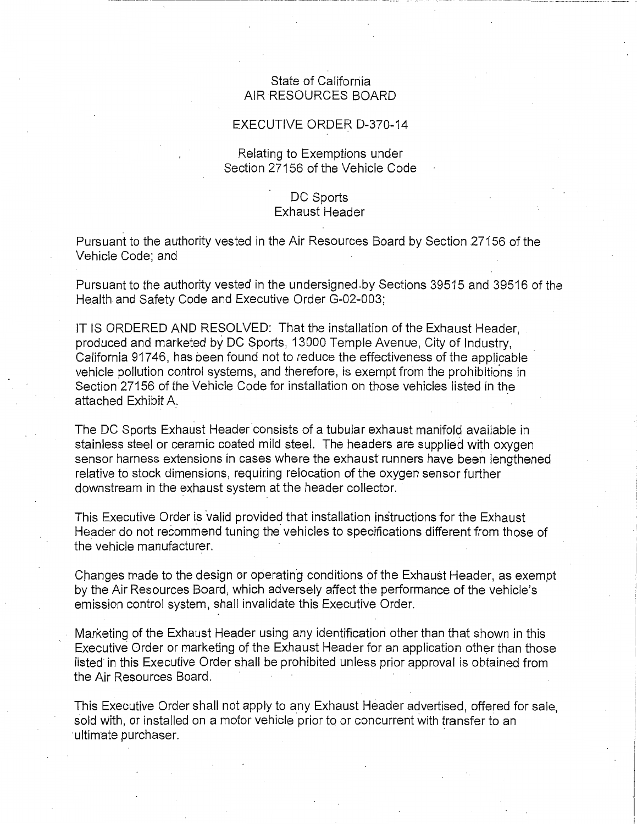## State of California AIR RESOURCES BOARD

## EXECUTIVE ORDER D-370-14

## Relating to Exemptions under Section 27156 of the Vehicle Code

## DC Sports Exhaust Header

Pursuant to the authority vested in the Air Resources Board by Section 27156 of the Vehicle Code; and

Pursuant to the authority vested in the [undersigned.by](https://undersigned.by) Sections 39515 and 39516 of the Health and Safety Code and Executive Order G-02-003;

IT IS ORDERED AND RESOLVED: That the installation of the Exhaust Header, produced and marketed by DC Sports, 13000 Temple Avenue, City of Industry, California 91746, has been found not to reduce the effectiveness of the applicable vehicle pollution control systems, and therefore, is exempt from the prohibitions in Section 27156 of the Vehicle Code for installation on those vehicles listed in the attached Exhibit A.

The DC Sports Exhaust Header consists of a tubular exhaust manifold available in stainless steel or ceramic coated mild steel. The headers are supplied with oxygen sensor harness extensions in cases where the exhaust runners have been lengthened relative to stock dimensions, requiring relocation of the oxygen sensor further downstream in the exhaust system at the header collector.

This Executive Order is valid provided that installation instructions for the Exhaust Header do not recommend tuning the vehicles to specifications different from those of the vehicle manufacturer.

Changes made to the design or operating conditions of the Exhaust Header, as exempt by the Air Resources Board, which adversely affect the performance of the vehicle's emission control system, shall invalidate this Executive Order.

Marketing of the Exhaust Header using any identification other than that shown in this Executive Order or marketing of the Exhaust Header for an application other than those listed in this Executive Order shall be prohibited unless prior approval is obtained from the Air Resources Board.

This Executive Order shall not apply to any Exhaust Header advertised, offered for sale, sold with, or installed on a motor vehicle prior to or concurrent with transfer to an ultimate purchaser.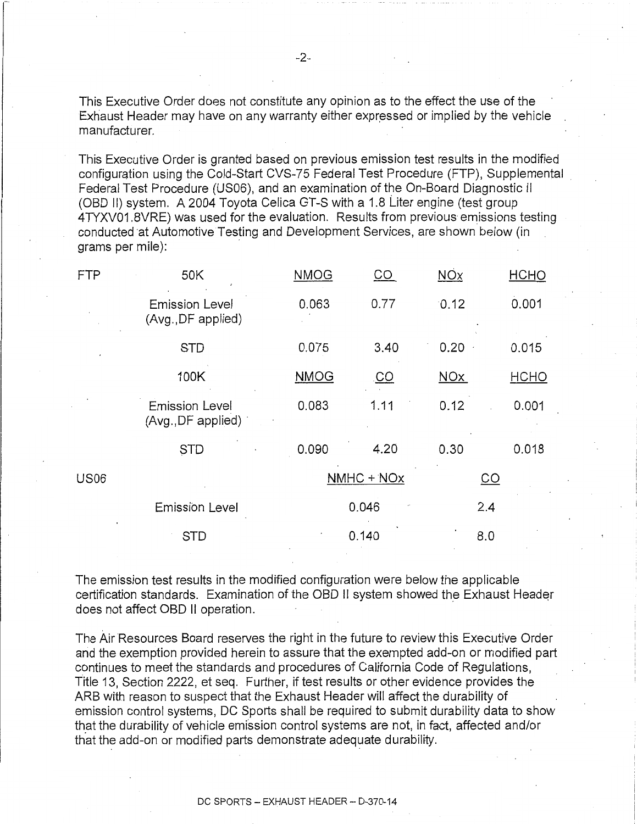This Executive Order does not constitute any opinion as to the effect the use of the Exhaust Header may have on any warranty either expressed or implied by the vehicle manufacturer.

This Executive Order is granted based on previous emission test results in the modified configuration using the Cold-Start CVS-75 Federal Test Procedure (FTP), Supplemental Federal Test Procedure (US06), and an examination of the On-Board Diagnostic II (OBD II) system. A 2004 Toyota Celica GT-S with a 1.8 Liter engine (test group 4TYXV01.8VRE) was used for the evaluation. Results from previous emissions testing conducted at Automotive Testing and Development Services, are shown below (in grams per mile):

| <b>FTP</b>  | 50K                                         | <b>NMOG</b> | $\underline{\mathsf{CO}}$ | NOx        | HCHO                      |  |
|-------------|---------------------------------------------|-------------|---------------------------|------------|---------------------------|--|
|             | <b>Emission Level</b><br>(Avg., DF applied) | 0.063       | 0.77                      | 0.12       | 0.001                     |  |
|             | <b>STD</b>                                  | 0.075       | 3.40                      | 0.20       | 0.015                     |  |
|             | 100K                                        | <b>NMOG</b> | <u>.co</u>                | <b>NOx</b> | HCHO                      |  |
|             | <b>Emission Level</b><br>(Avg., DF applied) | 0.083       | 1.11                      | 0.12       | 0.001                     |  |
|             | <b>STD</b>                                  | 0.090       | 4.20                      | 0.30       | 0.018                     |  |
| <b>US06</b> |                                             | NMHC + NOx  |                           |            | $\underline{\mathsf{CO}}$ |  |
|             | <b>Emission Level</b>                       | 0.046       |                           |            | 2.4                       |  |
|             | <b>STD</b>                                  |             | 0.140                     | 8.0        |                           |  |

The emission test results in the modified configuration were below the applicable certification standards. Examination of the OBD II system showed the Exhaust Header does not affect OBD II operation.

The Air Resources Board reserves the right in the future to review this Executive Order and the exemption provided herein to assure that the exempted add-on or modified part continues to meet the standards and procedures of California Code of Regulations, Title 13, Section 2222, et seq. Further, if test results or other evidence provides the ARB with reason to suspect that the Exhaust Header will affect the durability of emission control systems, DC Sports shall be required to submit durability data to show that the durability of vehicle emission control systems are not, in fact, affected and/or that the add-on or modified parts demonstrate adequate durability.

DC SPORTS - EXHAUST HEADER - D-370-14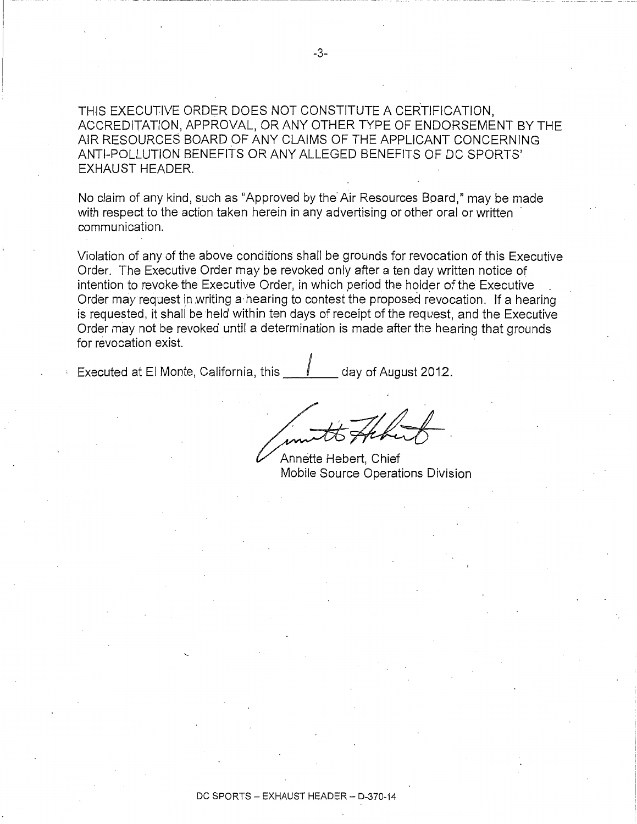THIS EXECUTIVE ORDER DOES NOT CONSTITUTE A CERTIFICATION, ACCREDITATION, APPROVAL, OR ANY OTHER TYPE OF ENDORSEMENT BY THE AIR RESOURCES BOARD OF ANY CLAIMS OF THE APPLICANT CONCERNING ANTI-POLLUTION BENEFITS OR ANY ALLEGED BENEFITS OF DC SPORTS' EXHAUST HEADER.

No claim of any kind, such as "Approved by the Air Resources Board," may be made with respect to the action taken herein in any advertising or other oral or written communication.

Violation of any of the above conditions shall be grounds for revocation of this Executive Order. The Executive Order may be revoked only after a ten day written notice of intention to revoke the Executive Order, in which period the holder of the Executive Order may request in writing a hearing to contest the proposed revocation. If a hearing is requested, it shall be held within ten days of receipt of the request, and the Executive Order may not be revoked until a determination is made after the hearing that grounds for revocation exist.

Executed at El Monte, California, this  $\mathbb{I}$  day of August 2012.

Annette Hebert, Chief Mobile Source Operations Division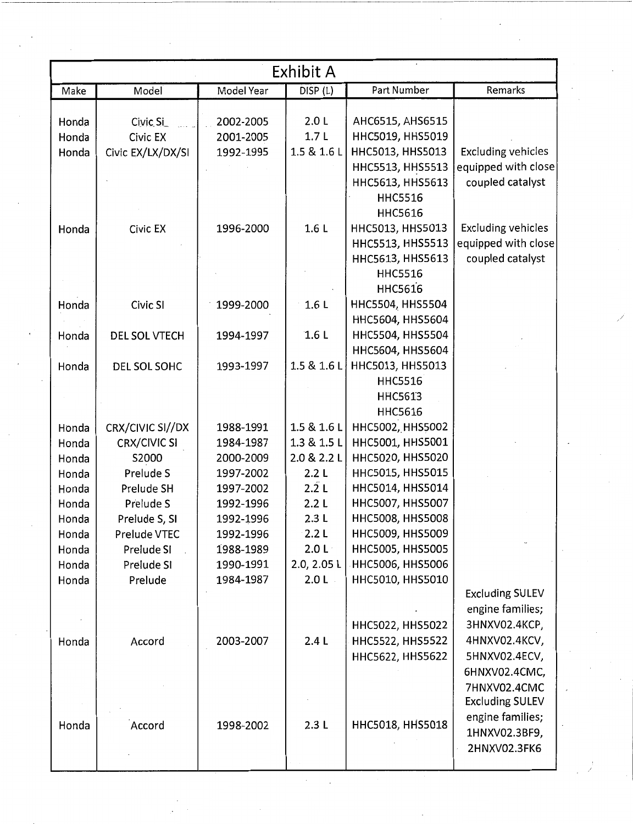| Exhibit A |                     |            |                    |                         |                           |  |  |
|-----------|---------------------|------------|--------------------|-------------------------|---------------------------|--|--|
| Make      | Model               | Model Year | DISP (L)           | Part Number             | Remarks                   |  |  |
|           |                     |            |                    |                         |                           |  |  |
| Honda     | Civic Si            | 2002-2005  | 2.0L               | AHC6515, AHS6515        |                           |  |  |
| Honda     | Civic EX            | 2001-2005  | 1.7 <sub>L</sub>   | HHC5019, HHS5019        |                           |  |  |
| Honda     | Civic EX/LX/DX/SI   | 1992-1995  | 1.5 & 1.6 L        | HHC5013, HHS5013        | <b>Excluding vehicles</b> |  |  |
|           |                     |            |                    | HHC5513, HHS5513        | equipped with close       |  |  |
|           |                     |            |                    | HHC5613, HHS5613        | coupled catalyst          |  |  |
|           |                     |            |                    | <b>HHC5516</b>          |                           |  |  |
|           |                     |            |                    | <b>HHC5616</b>          |                           |  |  |
| Honda     | Civic EX            | 1996-2000  | 1.6L               | HHC5013, HHS5013        | <b>Excluding vehicles</b> |  |  |
|           |                     |            |                    | HHC5513, HHS5513        | equipped with close       |  |  |
|           |                     |            |                    | HHC5613, HHS5613        | coupled catalyst          |  |  |
|           |                     |            |                    | <b>HHC5516</b>          |                           |  |  |
|           |                     |            |                    | <b>HHC5616</b>          |                           |  |  |
| Honda     | Civic SI            | 1999-2000  | 1.6L               | HHC5504, HHS5504        |                           |  |  |
|           |                     |            |                    | HHC5604, HHS5604        |                           |  |  |
| Honda     | DEL SOL VTECH       | 1994-1997  | 1.6L               | HHC5504, HHS5504        |                           |  |  |
|           |                     |            |                    | HHC5604, HHS5604        |                           |  |  |
| Honda     | DEL SOL SOHC        | 1993-1997  | 1.5 & 1.6 L        | HHC5013, HHS5013        |                           |  |  |
|           |                     |            |                    | <b>HHC5516</b>          |                           |  |  |
|           |                     |            |                    | <b>HHC5613</b>          |                           |  |  |
|           |                     |            |                    | <b>HHC5616</b>          |                           |  |  |
| Honda     | CRX/CIVIC SI//DX    | 1988-1991  | 1.5 & 1.6 L        | HHC5002, HHS5002        |                           |  |  |
| Honda     | <b>CRX/CIVIC SI</b> | 1984-1987  | 1.3 & 1.5 L        | HHC5001, HHS5001        |                           |  |  |
| Honda     | S2000               | 2000-2009  | 2.0 & 2.2 L        | HHC5020, HHS5020        |                           |  |  |
| Honda     | Prelude S           | 1997-2002  | 2.2L               | HHC5015, HHS5015        |                           |  |  |
| Honda     | Prelude SH          | 1997-2002  | $2.\overline{2}$ L | HHC5014, HHS5014        |                           |  |  |
| Honda     | Prelude S           | 1992-1996  | 2.2L               | HHC5007, HHS5007        |                           |  |  |
| Honda     | Prelude S, SI       | 1992-1996  | 2.3L               | HHC5008, HHS5008        |                           |  |  |
| Honda     | Prelude VTEC        | 1992-1996  | 2.2L               | HHC5009, HHS5009        |                           |  |  |
| Honda     | Prelude SI          | 1988-1989  | 2.0 L              | HHC5005, HHS5005        |                           |  |  |
| Honda     | Prelude SI          | 1990-1991  | 2.0, 2.05 L        | <b>HHC5006, HHS5006</b> |                           |  |  |
| Honda     | Prelude             | 1984-1987  | 2.0L               | HHC5010, HHS5010        |                           |  |  |
|           |                     |            |                    |                         | <b>Excluding SULEV</b>    |  |  |
|           |                     |            |                    |                         | engine families;          |  |  |
|           |                     |            |                    | HHC5022, HHS5022        | 3HNXV02.4KCP,             |  |  |
| Honda     | Accord              | 2003-2007  | 2.4L               | HHC5522, HHS5522        | 4HNXV02.4KCV,             |  |  |
|           |                     |            |                    | HHC5622, HHS5622        | 5HNXV02.4ECV,             |  |  |
|           |                     |            |                    |                         | 6HNXV02.4CMC,             |  |  |
|           |                     |            |                    |                         | 7HNXV02.4CMC              |  |  |
|           |                     |            |                    |                         | <b>Excluding SULEV</b>    |  |  |
| Honda     | Accord              | 1998-2002  | 2.3L               | HHC5018, HHS5018        | engine families;          |  |  |
|           |                     |            |                    |                         | 1HNXV02.3BF9,             |  |  |
|           |                     |            |                    |                         | 2HNXV02.3FK6              |  |  |
|           |                     |            |                    |                         |                           |  |  |